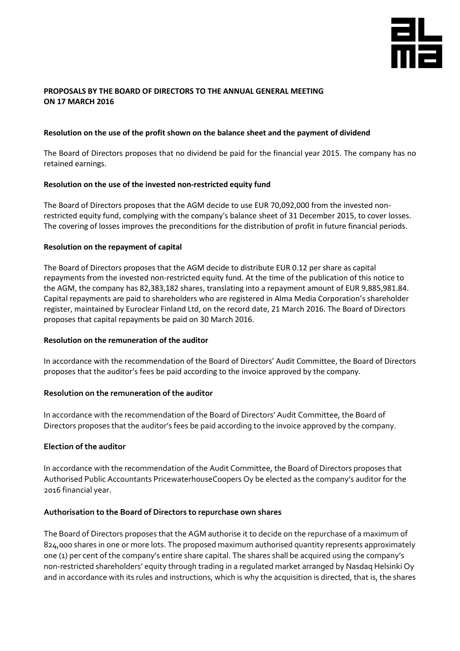

## **PROPOSALS BY THE BOARD OF DIRECTORS TO THE ANNUAL GENERAL MEETING ON 17 MARCH 2016**

#### **Resolution on the use of the profit shown on the balance sheet and the payment of dividend**

The Board of Directors proposes that no dividend be paid for the financial year 2015. The company has no retained earnings.

#### **Resolution on the use of the invested non-restricted equity fund**

The Board of Directors proposes that the AGM decide to use EUR 70,092,000 from the invested nonrestricted equity fund, complying with the company's balance sheet of 31 December 2015, to cover losses. The covering of losses improves the preconditions for the distribution of profit in future financial periods.

#### **Resolution on the repayment of capital**

The Board of Directors proposes that the AGM decide to distribute EUR 0.12 per share as capital repayments from the invested non-restricted equity fund. At the time of the publication of this notice to the AGM, the company has 82,383,182 shares, translating into a repayment amount of EUR 9,885,981.84. Capital repayments are paid to shareholders who are registered in Alma Media Corporation's shareholder register, maintained by Euroclear Finland Ltd, on the record date, 21 March 2016. The Board of Directors proposes that capital repayments be paid on 30 March 2016.

#### **Resolution on the remuneration of the auditor**

In accordance with the recommendation of the Board of Directors' Audit Committee, the Board of Directors proposes that the auditor's fees be paid according to the invoice approved by the company.

## **Resolution on the remuneration of the auditor**

In accordance with the recommendation of the Board of Directors' Audit Committee, the Board of Directors proposes that the auditor's fees be paid according to the invoice approved by the company.

## **Election of the auditor**

In accordance with the recommendation of the Audit Committee, the Board of Directors proposes that Authorised Public Accountants PricewaterhouseCoopers Oy be elected as the company's auditor for the 2016 financial year.

## **Authorisation to the Board of Directors to repurchase own shares**

The Board of Directors proposes that the AGM authorise it to decide on the repurchase of a maximum of 824,000 shares in one or more lots. The proposed maximum authorised quantity represents approximately one (1) per cent of the company's entire share capital. The shares shall be acquired using the company's non-restricted shareholders' equity through trading in a regulated market arranged by Nasdaq Helsinki Oy and in accordance with its rules and instructions, which is why the acquisition is directed, that is, the shares